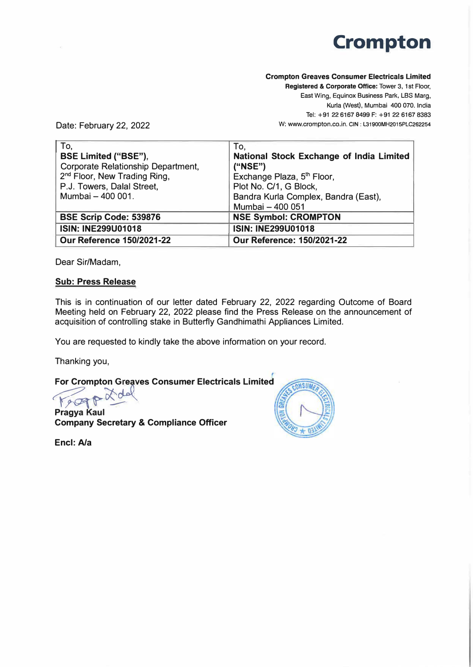# **Crompton**

### **Crompton Greaves Consumer Electricals Limited**

**Registered** & **Corporate Office:** Tower 3, 1st Floor, East Wing, Equinox Business Park, LBS Marg, Kurla (West) , Mumbai 400 070. India Tel: +91 22 6167 8499 F: +91 22 6167 8383 W: www.crompton.co.in. **CIN: l31900MH2015PLC262254** 

Date: February 22, 2022

| To,                                      | To,                                      |
|------------------------------------------|------------------------------------------|
| <b>BSE Limited ("BSE"),</b>              | National Stock Exchange of India Limited |
| Corporate Relationship Department,       | ("NSE")                                  |
| 2 <sup>nd</sup> Floor, New Trading Ring, | Exchange Plaza, 5 <sup>th</sup> Floor,   |
| P.J. Towers, Dalal Street,               | Plot No. C/1, G Block,                   |
| Mumbai - 400 001.                        | Bandra Kurla Complex, Bandra (East),     |
|                                          | Mumbai - 400 051                         |
| <b>BSE Scrip Code: 539876</b>            | <b>NSE Symbol: CROMPTON</b>              |
| <b>ISIN: INE299U01018</b>                | <b>ISIN: INE299U01018</b>                |
| <b>Our Reference 150/2021-22</b>         | <b>Our Reference: 150/2021-22</b>        |

Dear Sir/Madam,

## **Sub: Press Release**

This is in continuation of our letter dated February 22, 2022 regarding Outcome of Board Meeting held on February 22, 2022 please find the Press Release on the announcement of acquisition of controlling stake in Butterfly Gandhimathi Appliances Limited.

You are requested to kindly take the above information on your record.

Thanking you,

For Crompton Greaves Consumer Electricals Limited<br> **For any Results** 

**Pragya Kaul Company Secretary & Compliance Officer** 

**Encl: A/a** 

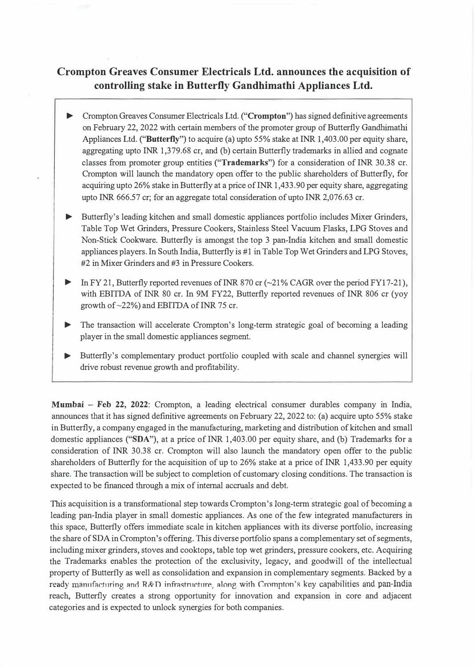# **Crompton Greaves Consumer Electricals Ltd. announces the acquisition of controlling stake in Butterfly Gandhimathi Appliances Ltd.**

- ► Crompton Greaves Consumer Electricals Ltd. **("Crompton")** has signed definitive agreements on February 22, 2022 with certain members of the promoter group of Butterfly Gandhimathi Appliances Ltd. **("Butterfly")** to acquire (a) upto 55% stake at INR 1,403.00 per equity share, aggregating upto INR 1,379.68 er, and (b) certain Butterfly trademarks in allied and cognate classes from promoter group entities **("Trademarks")** for a consideration of INR 30.38 er. Crompton will launch the mandatory open offer to the public shareholders of Butterfly, for acquiring upto 26% stake in Butterfly at a price of INR 1,433.90 per equity share, aggregating upto INR  $666.57$  cr; for an aggregate total consideration of upto INR 2,076.63 cr.
- Butterfly's leading kitchen and small domestic appliances portfolio includes Mixer Grinders, Table Top Wet Grinders, Pressure Cookers, Stainless Steel Vacuum Flasks, LPG Stoves and Non-Stick Cookware. Butterfly is amongst the top 3 pan-India kitchen and small domestic appliances players. In South India, Butterfly is #1 in Table Top Wet Grinders and LPG Stoves, #2 in Mixer Grinders and #3 in Pressure Cookers.
- In FY 21, Butterfly reported revenues of INR 870 cr ( $\sim$ 21% CAGR over the period FY17-21), with EBITDA of INR 80 er. In 9M FY22, Butterfly reported revenues of INR 806 er (yoy growth of  $\sim$ 22%) and EBITDA of INR 75 cr.
- The transaction will accelerate Crompton's long-term strategic goal of becoming a leading player in the small domestic appliances segment.
- ► Butterfly's complementary product portfolio coupled with scale and channel synergies will drive robust revenue growth and profitability.

**Mumbai - Feb 22, 2022:** Crompton, a leading electrical consumer durables company in India, announces that it has signed definitive agreements on February 22, 2022 to: (a) acquire upto 55% stake in Butterfly, a company engaged in the manufacturing, marketing and distribution of kitchen and small domestic appliances **("SDA"),** at a price of INR 1,403.00 per equity share, and (b) Trademarks for a consideration of INR 30.38 er. Crompton will also launch the mandatory open offer to the public shareholders of Butterfly for the acquisition of up to 26% stake at a price of INR 1,433.90 per equity share. The transaction will be subject to completion of customary closing conditions. The transaction is expected to be financed through a mix of internal accruals and debt.

This acquisition is a transformational step towards Crompton's long-term strategic goal of becoming a leading pan-India player in small domestic appliances. As one of the few integrated manufacturers in this space, Butterfly offers immediate scale in kitchen appliances with its diverse portfolio, increasing the share of SDA in Crompton's offering. This diverse portfolio spans a complementary set of segments, including mixer grinders, stoves and cooktops, table top wet grinders, pressure cookers, etc. Acquiring the Trademarks enables the protection of the exclusivity, legacy, and goodwill of the intellectual property of Butterfly as well as consolidation and expansion in complementary segments. Backed by a ready manufacturing and R&D infrastructure, along with Crompton's key capabilities and pan-India reach, Butterfly creates a strong opportunity for innovation and expansion in core and adjacent categories and is expected to unlock synergies for both companies.